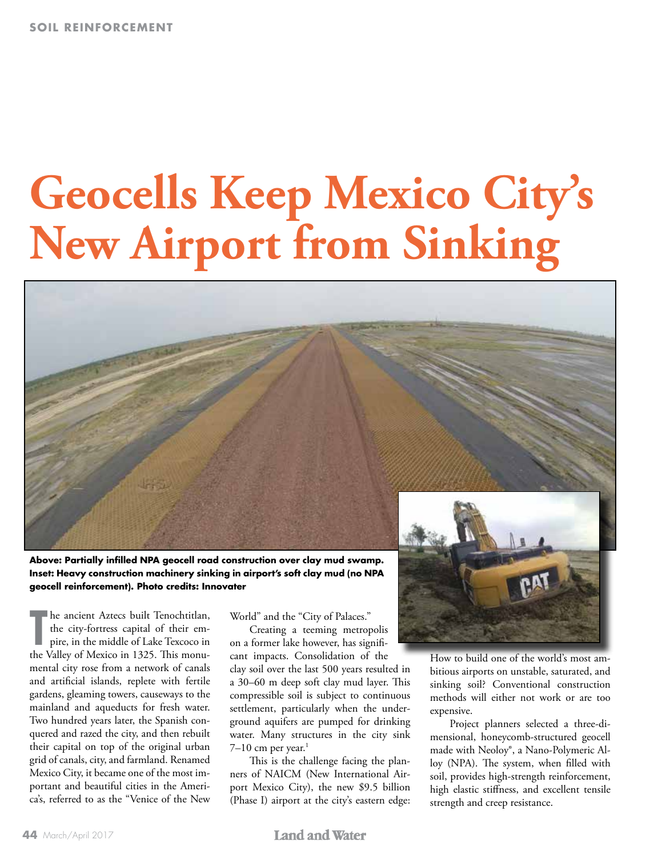# **Geocells Keep Mexico City's New Airport from Sinking**



**Above: Partially infilled NPA geocell road construction over clay mud swamp. Inset: Heavy construction machinery sinking in airport's soft clay mud (no NPA geocell reinforcement). Photo credits: Innovater**

The ancient Aztecs built Tenochtitlan, the city-fortress capital of their empire, in the middle of Lake Texcoco in the Valley of Mexico in 1325. This monuhe ancient Aztecs built Tenochtitlan, the city-fortress capital of their empire, in the middle of Lake Texcoco in mental city rose from a network of canals and artificial islands, replete with fertile gardens, gleaming towers, causeways to the mainland and aqueducts for fresh water. Two hundred years later, the Spanish conquered and razed the city, and then rebuilt their capital on top of the original urban grid of canals, city, and farmland. Renamed Mexico City, it became one of the most important and beautiful cities in the America's, referred to as the "Venice of the New World" and the "City of Palaces."

Creating a teeming metropolis on a former lake however, has significant impacts. Consolidation of the clay soil over the last 500 years resulted in a 30–60 m deep soft clay mud layer. This compressible soil is subject to continuous settlement, particularly when the underground aquifers are pumped for drinking water. Many structures in the city sink  $7-10$  cm per year.<sup>1</sup>

This is the challenge facing the planners of NAICM (New International Airport Mexico City), the new \$9.5 billion (Phase I) airport at the city's eastern edge:



How to build one of the world's most ambitious airports on unstable, saturated, and sinking soil? Conventional construction methods will either not work or are too expensive.

Project planners selected a three-dimensional, honeycomb-structured geocell made with Neoloy®, a Nano-Polymeric Alloy (NPA). The system, when filled with soil, provides high-strength reinforcement, high elastic stiffness, and excellent tensile strength and creep resistance.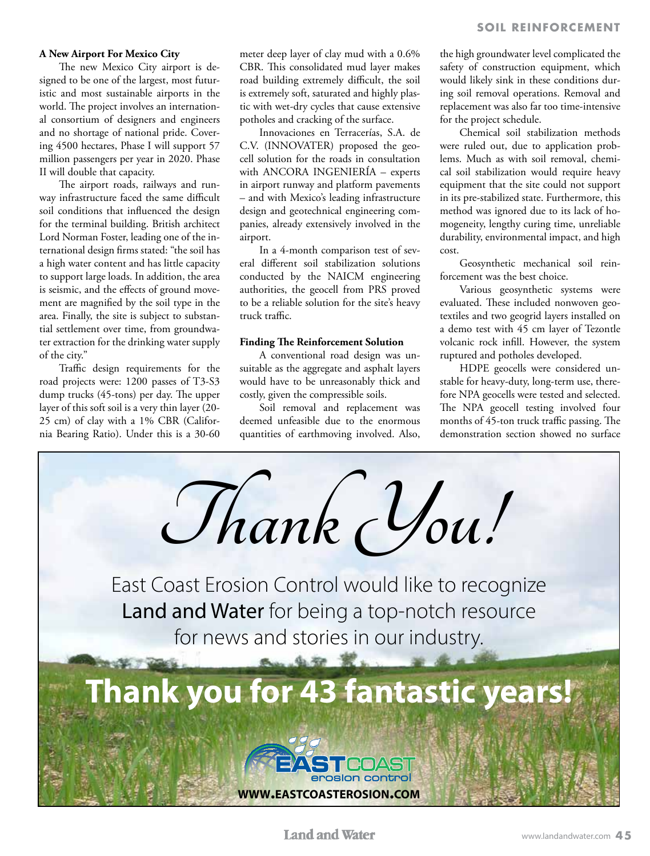#### **A New Airport For Mexico City**

The new Mexico City airport is designed to be one of the largest, most futuristic and most sustainable airports in the world. The project involves an international consortium of designers and engineers and no shortage of national pride. Covering 4500 hectares, Phase I will support 57 million passengers per year in 2020. Phase II will double that capacity.

The airport roads, railways and runway infrastructure faced the same difficult soil conditions that influenced the design for the terminal building. British architect Lord Norman Foster, leading one of the international design firms stated: "the soil has a high water content and has little capacity to support large loads. In addition, the area is seismic, and the effects of ground movement are magnified by the soil type in the area. Finally, the site is subject to substantial settlement over time, from groundwater extraction for the drinking water supply of the city."

Traffic design requirements for the road projects were: 1200 passes of T3-S3 dump trucks (45-tons) per day. The upper layer of this soft soil is a very thin layer (20- 25 cm) of clay with a 1% CBR (California Bearing Ratio). Under this is a 30-60 meter deep layer of clay mud with a 0.6% CBR. This consolidated mud layer makes road building extremely difficult, the soil is extremely soft, saturated and highly plastic with wet-dry cycles that cause extensive potholes and cracking of the surface.

Innovaciones en Terracerías, S.A. de C.V. (INNOVATER) proposed the geocell solution for the roads in consultation with ANCORA INGENIERÍA – experts in airport runway and platform pavements – and with Mexico's leading infrastructure design and geotechnical engineering companies, already extensively involved in the airport.

In a 4-month comparison test of several different soil stabilization solutions conducted by the NAICM engineering authorities, the geocell from PRS proved to be a reliable solution for the site's heavy truck traffic.

## **Finding The Reinforcement Solution**

A conventional road design was unsuitable as the aggregate and asphalt layers would have to be unreasonably thick and costly, given the compressible soils.

Soil removal and replacement was deemed unfeasible due to the enormous quantities of earthmoving involved. Also,

the high groundwater level complicated the safety of construction equipment, which would likely sink in these conditions during soil removal operations. Removal and replacement was also far too time-intensive for the project schedule.

Chemical soil stabilization methods were ruled out, due to application problems. Much as with soil removal, chemical soil stabilization would require heavy equipment that the site could not support in its pre-stabilized state. Furthermore, this method was ignored due to its lack of homogeneity, lengthy curing time, unreliable durability, environmental impact, and high cost.

Geosynthetic mechanical soil reinforcement was the best choice.

Various geosynthetic systems were evaluated. These included nonwoven geotextiles and two geogrid layers installed on a demo test with 45 cm layer of Tezontle volcanic rock infill. However, the system ruptured and potholes developed.

HDPE geocells were considered unstable for heavy-duty, long-term use, therefore NPA geocells were tested and selected. The NPA geocell testing involved four months of 45-ton truck traffic passing. The demonstration section showed no surface